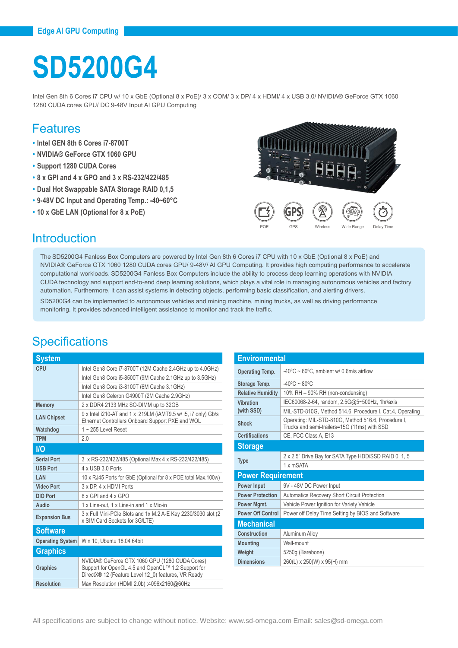# **SD5200G4**

Intel Gen 8th 6 Cores i7 CPU w/ 10 x GbE (Optional 8 x PoE)/ 3 x COM/ 3 x DP/ 4 x HDMI/ 4 x USB 3.0/ NVIDIA® GeForce GTX 1060 1280 CUDA cores GPU/ DC 9-48V Input AI GPU Computing

#### Features

- **• Intel GEN 8th 6 Cores i7-8700T**
- **• NVIDIA® GeForce GTX 1060 GPU**
- **• Support 1280 CUDA Cores**
- **• 8 x GPI and 4 x GPO and 3 x RS-232/422/485**
- **• Dual Hot Swappable SATA Storage RAID 0,1,5**
- **• 9-48V DC Input and Operating Temp.: -40~60°C**
- **• 10 x GbE LAN (Optional for 8 x PoE)**



#### **Introduction**

The SD5200G4 Fanless Box Computers are powered by Intel Gen 8th 6 Cores i7 CPU with 10 x GbE (Optional 8 x PoE) and NVIDIA® GeForce GTX 1060 1280 CUDA cores GPU/ 9-48V/ AI GPU Computing. It provides high computing performance to accelerate computational workloads. SD5200G4 Fanless Box Computers include the ability to process deep learning operations with NVIDIA CUDA technology and support end-to-end deep learning solutions, which plays a vital role in managing autonomous vehicles and factory automation. Furthermore, it can assist systems in detecting objects, performing basic classification, and alerting drivers.

SD5200G4 can be implemented to autonomous vehicles and mining machine, mining trucks, as well as driving performance monitoring. It provides advanced intelligent assistance to monitor and track the traffic.

## **Specifications**

| <b>System</b>           |                                                                                                                                                             |  |
|-------------------------|-------------------------------------------------------------------------------------------------------------------------------------------------------------|--|
| CPU                     | Intel Gen8 Core i7-8700T (12M Cache 2.4GHz up to 4.0GHz)                                                                                                    |  |
|                         | Intel Gen8 Core i5-8500T (9M Cache 2.1GHz up to 3.5GHz)                                                                                                     |  |
|                         | Intel Gen8 Core i3-8100T (6M Cache 3.1GHz)                                                                                                                  |  |
|                         | Intel Gen8 Celeron G4900T (2M Cache 2.9GHz)                                                                                                                 |  |
| <b>Memory</b>           | 2 x DDR4 2133 MHz SO-DIMM up to 32GB                                                                                                                        |  |
| <b>LAN Chipset</b>      | 9 x Intel i210-AT and 1 x i219LM (iAMT9.5 w/ i5, i7 only) Gb/s<br>Ethernet Controllers Onboard Support PXE and WOL                                          |  |
| Watchdog                | $1 - 255$ Level Reset                                                                                                                                       |  |
| <b>TPM</b>              | 2.0                                                                                                                                                         |  |
| <b>i/Q</b>              |                                                                                                                                                             |  |
| <b>Serial Port</b>      | 3 x RS-232/422/485 (Optional Max 4 x RS-232/422/485)                                                                                                        |  |
| <b>USB Port</b>         | 4 x USB 3 0 Ports                                                                                                                                           |  |
| LAN                     | 10 x RJ45 Ports for GbE (Optional for 8 x POE total Max.100w)                                                                                               |  |
| <b>Video Port</b>       | 3 x DP. 4 x HDMI Ports                                                                                                                                      |  |
| <b>DIO Port</b>         | 8 x GPI and 4 x GPO                                                                                                                                         |  |
| Audio                   | 1 x Line-out, 1 x Line-in and 1 x Mic-in                                                                                                                    |  |
| <b>Expansion Bus</b>    | 3 x Full Mini-PCle Slots and 1x M.2 A-E Key 2230/3030 slot (2)<br>x SIM Card Sockets for 3G/LTE)                                                            |  |
| <b>Software</b>         |                                                                                                                                                             |  |
| <b>Operating System</b> | Win 10, Ubuntu 18.04 64bit                                                                                                                                  |  |
| <b>Graphics</b>         |                                                                                                                                                             |  |
| <b>Graphics</b>         | NVIDIA® GeForce GTX 1060 GPU (1280 CUDA Cores)<br>Support for OpenGL 4.5 and OpenCL™ 1.2 Support for<br>DirectX® 12 (Feature Level 12 0) features, VR Ready |  |
| <b>Resolution</b>       | Max Resolution (HDMI 2.0b) :4096x2160@60Hz                                                                                                                  |  |

| Environmental            |                                                                                                     |  |
|--------------------------|-----------------------------------------------------------------------------------------------------|--|
| <b>Operating Temp.</b>   | $-40^{\circ}$ C ~ 60°C, ambient w/ 0.6m/s airflow                                                   |  |
| Storage Temp.            | $-40^{\circ}$ C ~ 80 $^{\circ}$ C                                                                   |  |
| <b>Relative Humidity</b> | 10% RH - 90% RH (non-condensing)                                                                    |  |
| Vihration                | IEC60068-2-64, random, 2.5G@5~500Hz, 1hr/axis                                                       |  |
| (with SSD)               | MIL-STD-810G, Method 514.6, Procedure I, Cat.4, Operating                                           |  |
| Shock                    | Operating: MIL-STD-810G, Method 516.6, Procedure I,<br>Trucks and semi-trailers=15G (11ms) with SSD |  |
| <b>Certifications</b>    | CE, FCC Class A, E13                                                                                |  |
| <b>Storage</b>           |                                                                                                     |  |
|                          | 2 x 2.5" Drive Bay for SATA Type HDD/SSD RAID 0, 1, 5                                               |  |
| <b>Type</b>              | 1 x mSATA                                                                                           |  |
| <b>Power Requirement</b> |                                                                                                     |  |
|                          |                                                                                                     |  |
| <b>Power Input</b>       | 9V - 48V DC Power Input                                                                             |  |
| <b>Power Protection</b>  | <b>Automatics Recovery Short Circuit Protection</b>                                                 |  |
| Power Mgmt.              | Vehicle Power Ignition for Variety Vehicle                                                          |  |
| <b>Power Off Control</b> | Power off Delay Time Setting by BIOS and Software                                                   |  |
| <b>Mechanical</b>        |                                                                                                     |  |
| Construction             | Aluminum Alloy                                                                                      |  |
| <b>Mounting</b>          | Wall-mount                                                                                          |  |
| Weight                   | 5250g (Barebone)                                                                                    |  |